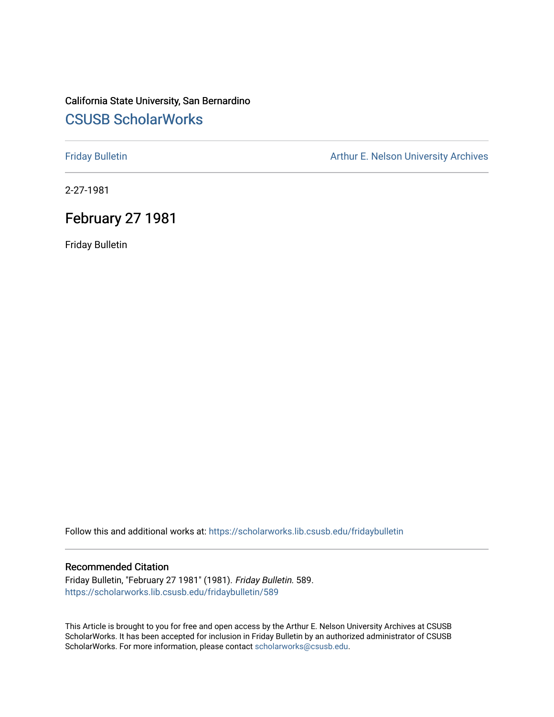# California State University, San Bernardino [CSUSB ScholarWorks](https://scholarworks.lib.csusb.edu/)

[Friday Bulletin](https://scholarworks.lib.csusb.edu/fridaybulletin) **Arthur E. Nelson University Archives** Arthur E. Nelson University Archives

2-27-1981

# February 27 1981

Friday Bulletin

Follow this and additional works at: [https://scholarworks.lib.csusb.edu/fridaybulletin](https://scholarworks.lib.csusb.edu/fridaybulletin?utm_source=scholarworks.lib.csusb.edu%2Ffridaybulletin%2F589&utm_medium=PDF&utm_campaign=PDFCoverPages)

### Recommended Citation

Friday Bulletin, "February 27 1981" (1981). Friday Bulletin. 589. [https://scholarworks.lib.csusb.edu/fridaybulletin/589](https://scholarworks.lib.csusb.edu/fridaybulletin/589?utm_source=scholarworks.lib.csusb.edu%2Ffridaybulletin%2F589&utm_medium=PDF&utm_campaign=PDFCoverPages)

This Article is brought to you for free and open access by the Arthur E. Nelson University Archives at CSUSB ScholarWorks. It has been accepted for inclusion in Friday Bulletin by an authorized administrator of CSUSB ScholarWorks. For more information, please contact [scholarworks@csusb.edu.](mailto:scholarworks@csusb.edu)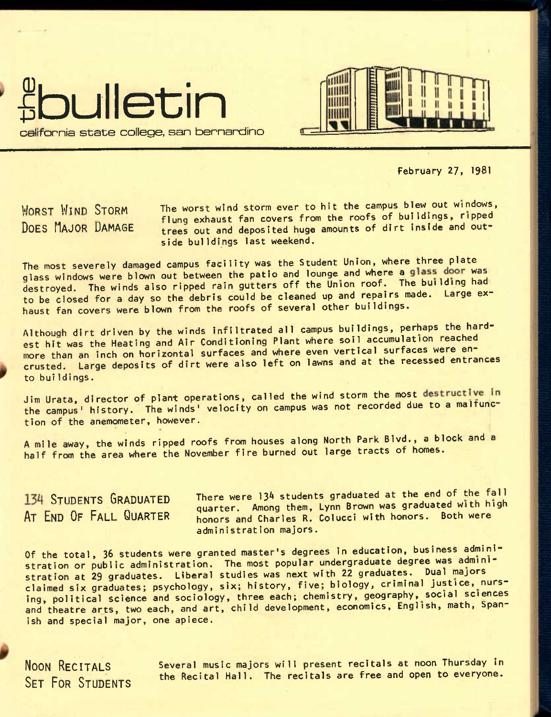



February 27, 1981

WORST WIND STORM The worst wind storm ever to hit the campus blew out windows, The company of the second text of the roofs of buildings, ripped<br>DOES MAJOR DAMAGE trees out and deposited buge amounts of dirt inside and outtrees out and deposited huge amounts of dirt inside and outside buildings last weekend.

The most severely damaged campus facility was the Student Union, where three plate glass windows were blown out between the patio and lounge and where a glass door was destroyed. The winds also ripped rain gutters off the Union roof. The building had^ to be closed for a day so the debris could be cleaned up and repairs made. Large exhaust fan covers were blown from the roofs of several other buildings.

Although dirt driven by the winds infiltrated all campus buildings, perhaps the hardest hit was the Heating and Air Conditioning Plant where soil accumulation reached more than an inch on horizontal surfaces and where even vertical surfaces were encrusted. Large deposits of dirt were also left on lawns and at the recessed entrances to buildings.

Jim Urata, director of plant operations, called the wind storm the most destructive in the campus' history. The winds' velocity on campus was not recorded due to a malfunction of the anemometer, however.

A mile away, the winds ripped roofs from houses along North Park Blvd., a block and a half from the area where the November fire burned out large tracts of homes.

**134 STUDENTS GRADUATED** There were 134 students graduated at the end of the fall quarter. Among them, Lynn Brown was graduated with high **AT END OF FALL QUARTER** honors and Charles **R**. ColuccI with honors. Both were administration majors.

Of the total, 36 students were granted master's degrees in education, business administration or public administration. The most popular undergraduate degree was administration at 29 graduates. Liberal studies was next with 22 graduates. Dual majors claimed six graduates; psychology, six; history, five; biology, criminal justice, nursing, politicai science and sociology, three each; chemistry, geography, social sciences and theatre arts, two each, and art, child development, economics, English, math, Spanish and special major, one apiece.

**NOON RECITALS SET FOR STUDENTS**  Several music majors will present recitals at noon Thursday in the Recital Hall. The recitals are free and open to everyone.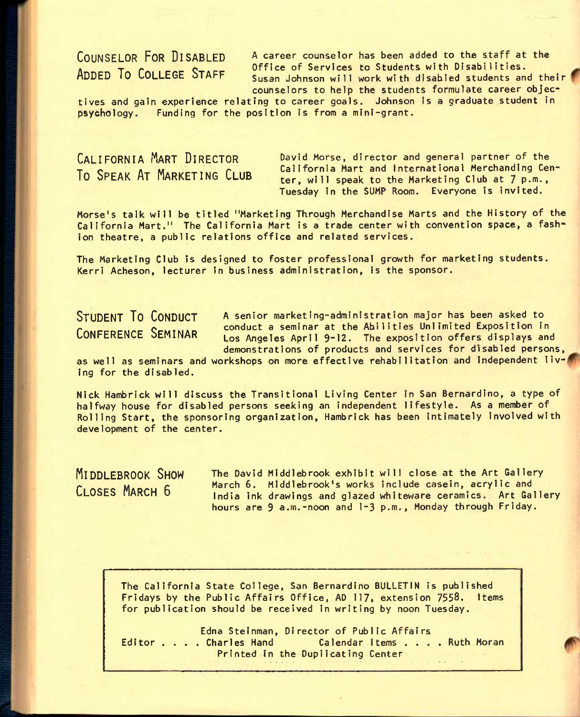**COUNSELOR FOR DISABLED** A career counselor has been added to the staff at the COUNCED THE THEFT THE CONFIDENTIAL Office of Services to Students with Disabilities. Susan Johnson will work with disabled students and their counselors to help the students formulate career objec-

tives and gain experience relating to career goals. Johnson is a graduate student in psychology. Funding for the position is from a mini-grant.

# **CALIFORNIA MART DIRECTOR To SPEAK AT MARKETING CLUB**

David Morse, director and general partner of the California Mart and International Merchandlng Center, will speak to the Marketing Club at 7 p.m., Tuesday In the SUMP Room. Everyone is invited.

Morse's talk will be titled "Marketing Through Merchandise Marts and the History of the California Mart." The California Mart is a trade center with convention space, a fashion theatre, a public relations office and related services.

The Marketing Club is designed to foster professional growth for marketing students. Kerri Acheson, lecturer in business administration, is the sponsor.

**STUDENT TO CONDUCT A** senior marketing-administration major has been asked to **Problem The Conduct a seminar at the Abilities Unlimited Exposition in**<br>CONFERENCE SEMINAR Los Angeles April 9-12. The exposition offers displays and Los Angeles April 9-12. The exposition offers displays and demonstrations of products and services for disabled persons,

as well as seminars and workshops on more effective rehabilitation and independent living for the disabled.

Nick Hambrick will discuss the Transitional Living Center in San Bernardino, a type of halfway house for disabled persons seeking an independent lifestyle. As a member of Rolling Start, the sponsoring organization, Hambrick has been intimately involved with development of the center.

**MIDDLEBROOK SHOW** The David Middlebrook exhibit will close at the Art Gallery CLOSES MARCH 6 March 6. Middlebrook's works include casein, acrylic and India ink drawings and glazed whiteware ceramics. Art Gallery hours are 9 a.m.-noon and 1-3 p.m., Monday through Friday.

The California State College, San Bernardino BULLETIN Is published Fridays by the Public Affairs Office, AD **117»** extension **7558.** Items for publication should be received in writing by noon Tuesday.

Edna Steinman, Director of Public Affairs<br>Editor . . . . Charles Hand Calendar Items . . . . Ruth Moran Printed in the Duplicating Center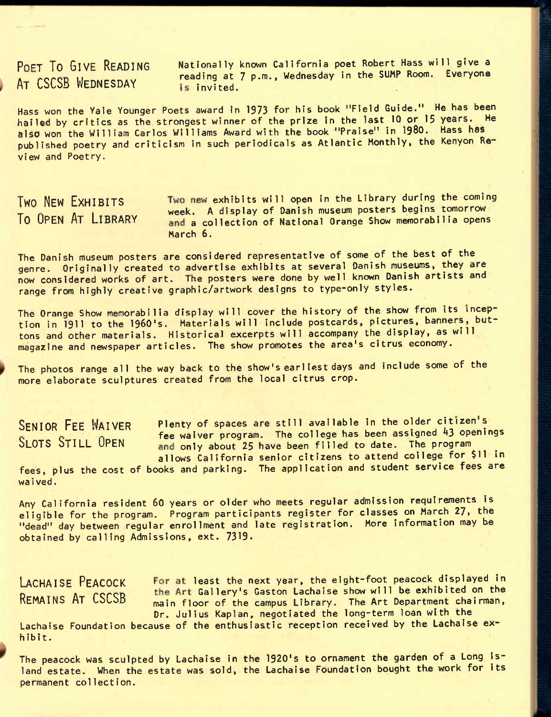# A<sub>T</sub> CSCSB WEDNESDAY **is invited.**

**POET TO GIVE READING** Nationally known California poet Robert Hass will give a reading at 7 p.m., Wednesday in the SUMP Room. Everyone

Hass won the Yale Younger Poets award in 1973 for his book "Field Guide." He has been hailed by critics as the strongest winner of the prize in the last 10 or 15 years. He also won the William Carlos Williams Award with the book "Praise" in 1980. Hass has published poetry and criticism in such periodicals as Atlantic Monthly, the Kenyon Review and Poetry.

**TWO NEW EXHIBITS** Two new exhibits will open in the Library during the coming The Hottle Little of the Week. A display of Danish museum posters begins tomorrow<br>To OPEN AT LIBRARY and a collection of National Orange Show memorabilia opens and a collection of National Orange Show memorabilia opens March 6.

The Danish museum posters are considered representative of some of the best of the genre. Originally created to advertise exhibits at several Danish museums, they are now considered works of art. The posters were done by well known Danish artists and range from highly creative graphic/artwork designs to type-only styles.

The Orange Show memorabilia display will cover the history of the show from its inception in 1911 to the 1960's. Materials will include postcards, pictures, banners, buttons and other materials. Historical excerpts will accompany the display, as will magazine and newspaper articles. The show promotes the area's citrus economy.

The photos range all the way back to the show's earliest days and include some of the more elaborate sculptures created from the local citrus crop.

SENIOR FEE WAIVER Plenty of spaces are still available in the older citizen's  $\frac{1}{2}$ . Fee waiver program. The college has been assigned 43 openings<br>SIOTS STILL OPEN and only about 25 have been filled to date. The program and only about 25 have been filled to date. The program allows California senior citizens to attend college for \$11 in

fees, plus the cost of books and parking. The application and student service fees are waived.

Any California resident 60 years or older who meets regular admission requirements is eligible for the program. Program participants register for classes on March 27, the "dead" day between regular enrollment and late registration. More information may be obtained by calling Admissions, ext. 7319.

LACHAISE PEACOCK For at least the next year, the eight-foot peacock displayed in **D CONCORNET CONSUMER**<br>REMAINS AT CSCSB and floor of the campus Library. The Art Department chairman. main floor of the campus Library. The Art Department chairman, Dr. Julius Kaplan, negotiated the long-term loan with the

Lachaise Foundation because of the enthusiastic reception received by the Lachaise exhibit.

The peacock was sculpted by Lachaise in the 1920's to ornament the garden of a Long island estate. When the estate was sold, the Lachaise Foundation bought the work for its permanent collection.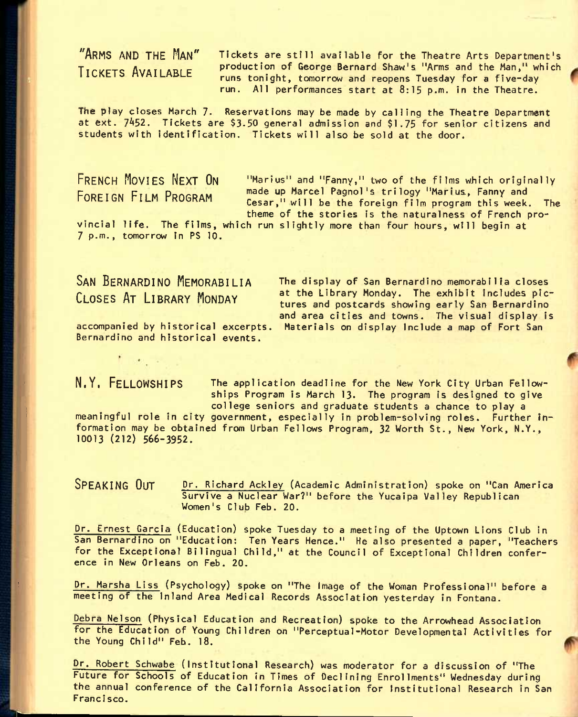**"ARMS AND THE MAN" TICKETS AVAILABLE** <sup>t</sup>

Tickets are still available for the Theatre Arts Department's production of George Bernard Shaw's "Arms and the Man," which runs tonight, tomorrow and reopens Tuesday for a five-day run. All performances start at 8:15 p.m. in the Theatre.

The play closes March 7. Reservations may be made by calling the Theatre Department at ext. 7452. Tickets are \$3.50 general admission and \$1.75 for senior citizens and students with identification. Tickets will also be sold at the door.

**FRENCH PIOVIES NEXT ON FOREIGN FILM PROGRAM** 

"Marlus" and "Fanny," two of the films which originally made up Marcel Pagnol's trilogy "Marius, Fanny and Cesar," will be the foreign film program this week. The theme of the stories is the naturalness of French pro-

theme of the stories is the naturalness of French <sub>r</sub><br>vincial life. The films, which run slightly more than four hours, will begin at 7 p.m.. tomorrow in PS 10.

**SAN BERNARDINO MEMORABILIA CLOSES AT LIBRARY MONDAY** 

The display of San Bernardino memorabilia closes at the Library Monday. The exhibit includes pictures and postcards showing early San Bernardino and area cities and towns. The visual display is Materials on display include a map of Fort San

accompanied by historical excerpts. Bernardino and historical events.

**N.YI FELLOWSHIPS** The application deadline for the New York City Urban Fellowships Program is March 13. The program is designed to give college seniors and graduate students a chance to play a

meaningful role in city government, especially in problem-solving roles. Further information may be obtained from Urban Fellows Program, 32 Worth St., New York, N.Y., 10013 (212) 566-3952.

**SPEAKING OUT** or. Richard Ackley (Academic Administration) spoke on "Can America Survive a Nuclear War?" before the Yucaipa Valley Republican Women's Club Feb. 20.

Dr. Ernest Garcia (Education) spoke Tuesday to a meeting of the Uptown Lions Club in San Bernardino on "Education: Ten Years Hence." He also presented a paper, "Teachers for the Exceptional Bilingual Child," at the Council of Exceptional Children conference in New Orleans on Feb. 20.

Dr. Marsha LIss (Psychology) spoke on "The Image of the Woman Professional" before a meeting of the inland Area Medical Records Association yesterday in Fontana.

Debra Nelson (Physical Education and Recreation) spoke to the Arrowhead Association for the Education of Young Children on "Perceptual-Motor Developmental Activities for the Young Child" Feb. 18.

Dr. Robert Schwabe (institutional Research) was moderator for a discussion of "The Future for Schools of Education in Times of Declining Enrollments" Wednesday during the annual conference of the California Association for institutional Research in San Francisco.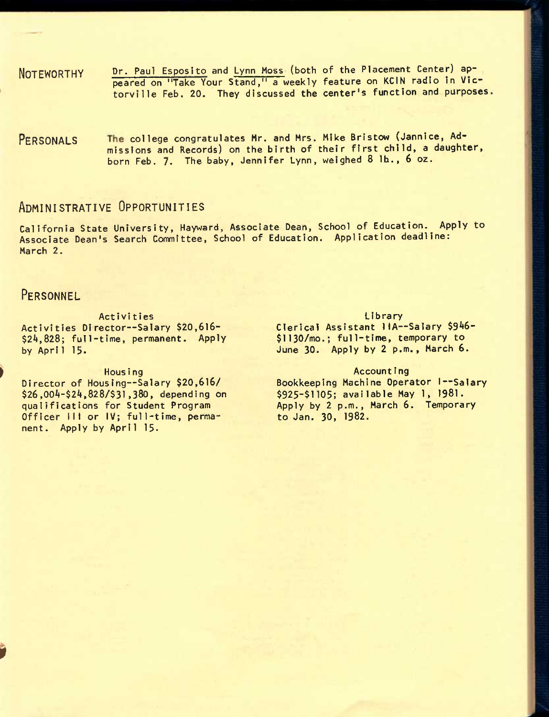- NOTEWORTHY Dr. Paul Esposito and Lynn Moss (both of the Placement Center) appeared on "Take Your Stand," a weekly feature on KCIN radio in Victorville Feb. 20. They discussed the center's function and purposes
- PERSONALS The college congratulates Mr. and Mrs. Mike Bristow (Jannice, Admissions and Records) on the birth of their first child, a daughter, born Feb. 7. The baby, Jennifer Lynn, weighed 8 lb., 6 oz.

## **ADMINISTRATIVE OPPORTUNITIES**

California State University, Hayward, Associate Dean, School of Education.^ Apply to Associate Dean's Search Committee, School of Education. Application deadline: March 2.

### **PERSONNEL**

Activities Activities Director—Salary \$20,616- \$24,828; full-time, permanent. Apply by Apri1 15.

*9* 

### Hous ing

Director of Housing—Salary \$20,616/ \$26,004-\$24,828/\$31,380, depending on qualifications for Student Program Officer III or IV; full-time, permanent. Apply by April 15.

### **Library**

Clerical Assistant 1lA—Salary \$946- \$1130/mo.; full-time, temporary to June 30. Apply by 2 p.m., March 6.

### Accounting

Bookkeeping Machine Operator I--Salary \$925-\$1105; available May 1, 1981. Apply by 2 p.m., March 6. Temporary to Jan. 30, 1982.